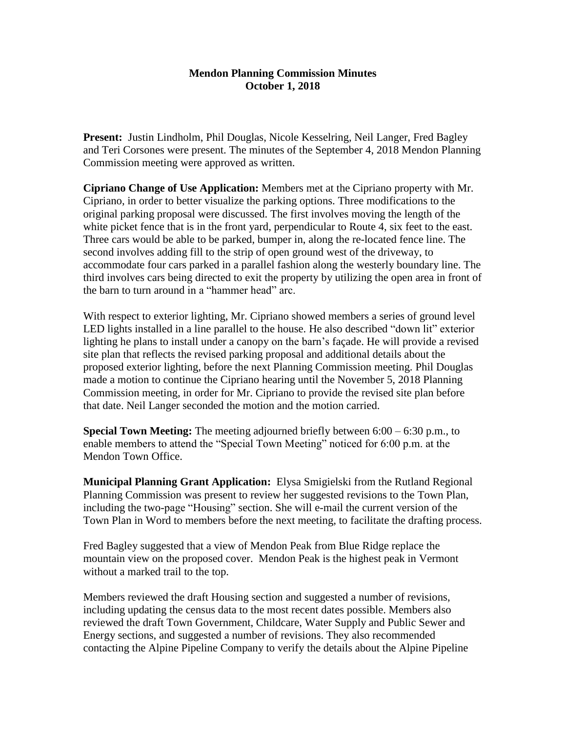## **Mendon Planning Commission Minutes October 1, 2018**

**Present:** Justin Lindholm, Phil Douglas, Nicole Kesselring, Neil Langer, Fred Bagley and Teri Corsones were present. The minutes of the September 4, 2018 Mendon Planning Commission meeting were approved as written.

**Cipriano Change of Use Application:** Members met at the Cipriano property with Mr. Cipriano, in order to better visualize the parking options. Three modifications to the original parking proposal were discussed. The first involves moving the length of the white picket fence that is in the front yard, perpendicular to Route 4, six feet to the east. Three cars would be able to be parked, bumper in, along the re-located fence line. The second involves adding fill to the strip of open ground west of the driveway, to accommodate four cars parked in a parallel fashion along the westerly boundary line. The third involves cars being directed to exit the property by utilizing the open area in front of the barn to turn around in a "hammer head" arc.

With respect to exterior lighting, Mr. Cipriano showed members a series of ground level LED lights installed in a line parallel to the house. He also described "down lit" exterior lighting he plans to install under a canopy on the barn's façade. He will provide a revised site plan that reflects the revised parking proposal and additional details about the proposed exterior lighting, before the next Planning Commission meeting. Phil Douglas made a motion to continue the Cipriano hearing until the November 5, 2018 Planning Commission meeting, in order for Mr. Cipriano to provide the revised site plan before that date. Neil Langer seconded the motion and the motion carried.

**Special Town Meeting:** The meeting adjourned briefly between 6:00 – 6:30 p.m., to enable members to attend the "Special Town Meeting" noticed for 6:00 p.m. at the Mendon Town Office.

**Municipal Planning Grant Application:** Elysa Smigielski from the Rutland Regional Planning Commission was present to review her suggested revisions to the Town Plan, including the two-page "Housing" section. She will e-mail the current version of the Town Plan in Word to members before the next meeting, to facilitate the drafting process.

Fred Bagley suggested that a view of Mendon Peak from Blue Ridge replace the mountain view on the proposed cover. Mendon Peak is the highest peak in Vermont without a marked trail to the top.

Members reviewed the draft Housing section and suggested a number of revisions, including updating the census data to the most recent dates possible. Members also reviewed the draft Town Government, Childcare, Water Supply and Public Sewer and Energy sections, and suggested a number of revisions. They also recommended contacting the Alpine Pipeline Company to verify the details about the Alpine Pipeline